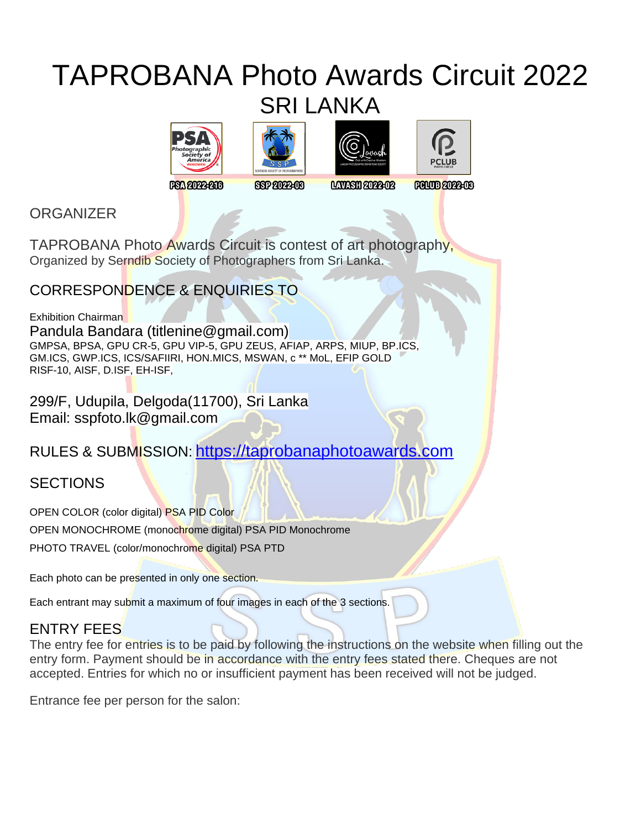# TAPROBANA Photo Awards Circuit 2022 SRI LANKA









**FSA 2022-216** 

8672022-08

**LAVASH 2022-02** 

**FOUUD 2022-08** 

**ORGANIZER** 

TAPROBANA Photo Awards Circuit is contest of art photography, Organized by Serndib Society of Photographers from Sri Lanka.

# CORRESPONDENCE & ENQUIRIES TO

Exhibition Chairman Pandula Bandara (titlenine@gmail.com) GMPSA, BPSA, GPU CR-5, GPU VIP-5, GPU ZEUS, AFIAP, ARPS, MIUP, BP.ICS, GM.ICS, GWP.ICS, ICS/SAFIIRI, HON.MICS, MSWAN, c \*\* MoL, EFIP GOLD RISF-10, AISF, D.ISF, EH-ISF,

299/F, Udupila, Delgoda(11700), Sri Lanka Email: sspfoto.lk@gmail.com

RULES & SUBMISSION: [https://taprobanaphotoawards.com](https://taprobanaphotoawards.com/)

# **SECTIONS**

OPEN COLOR (color digital) PSA PID Color OPEN MONOCHROME (monochrome digital) PSA PID Monochrome PHOTO TRAVEL (color/monochrome digital) PSA PTD

Each photo can be presented in only one section.

Each entrant may submit a maximum of four images in each of the 3 sections.

# ENTRY FEES

The entry fee for entries is to be paid by following the instructions on the website when filling out the entry form. Payment should be in accordance with the entry fees stated there. Cheques are not accepted. Entries for which no or insufficient payment has been received will not be judged.

Entrance fee per person for the salon: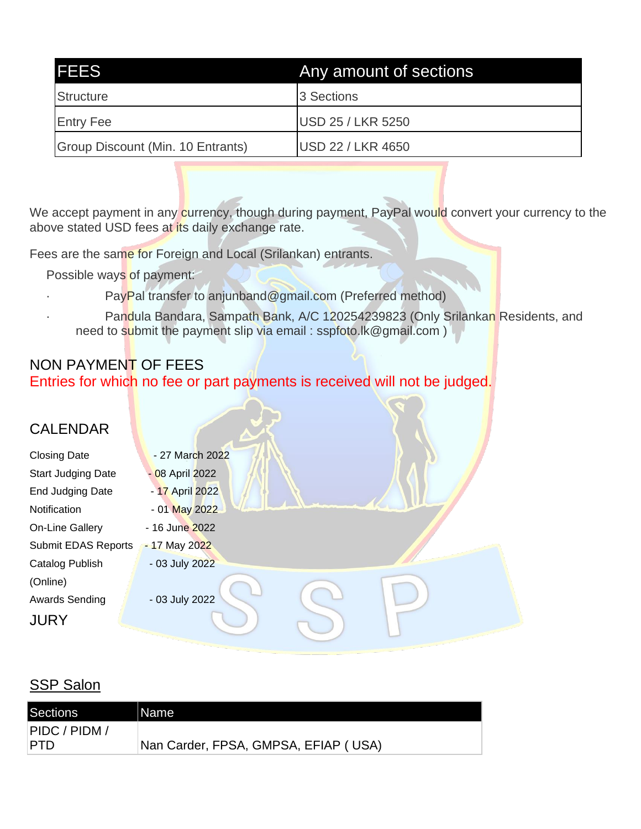| <b>IFEES</b>                      | Any amount of sections   |
|-----------------------------------|--------------------------|
| Structure                         | 3 Sections               |
| <b>Entry Fee</b>                  | <b>USD 25 / LKR 5250</b> |
| Group Discount (Min. 10 Entrants) | <b>USD 22 / LKR 4650</b> |

We accept payment in any currency, though during payment, PayPal would convert your currency to the above stated USD fees at its daily exchange rate.

Fees are the same for Foreign and Local (Srilankan) entrants.

Possible ways of payment:

- PayPal transfer to anjunband@gmail.com (Preferred method)
- Pandula Bandara, Sampath Bank, A/C 120254239823 (Only Srilankan Residents, and need to submit the payment slip via email : sspfoto.lk@gmail.com )

# NON PAYMENT OF FEES Entries for which no fee or part payments is received will not be judged.

| <b>CALENDAR</b>            |                 |  |
|----------------------------|-----------------|--|
| <b>Closing Date</b>        | - 27 March 2022 |  |
| <b>Start Judging Date</b>  | - 08 April 2022 |  |
| End Judging Date           | - 17 April 2022 |  |
| Notification               | - 01 May 2022   |  |
| On-Line Gallery            | - 16 June 2022  |  |
| <b>Submit EDAS Reports</b> | - 17 May 2022   |  |
| Catalog Publish            | - 03 July 2022  |  |
| (Online)                   |                 |  |
| <b>Awards Sending</b>      | - 03 July 2022  |  |
| <b>JURY</b>                |                 |  |

# **SSP Salon**

| Sections      | Name                                 |
|---------------|--------------------------------------|
| PIDC / PIDM / |                                      |
| <b>PTD</b>    | Nan Carder, FPSA, GMPSA, EFIAP (USA) |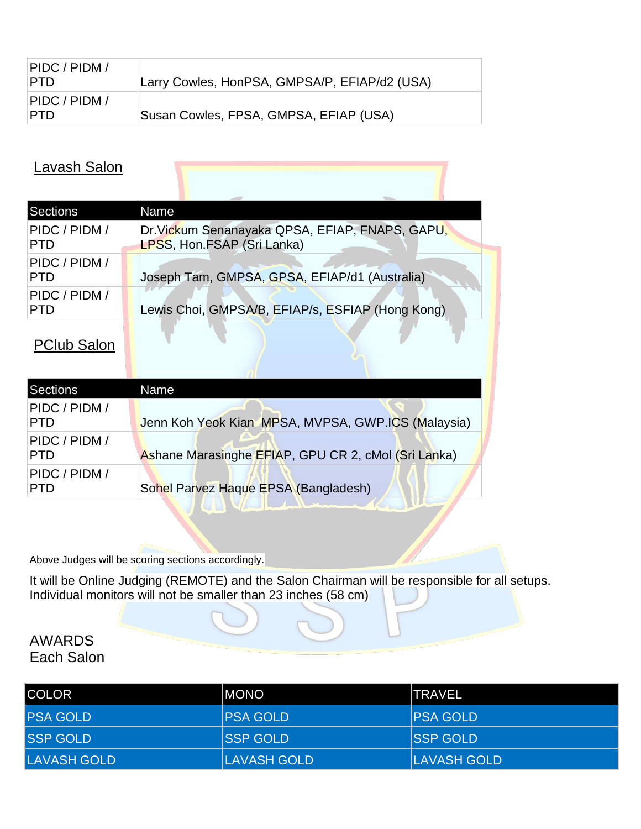| PIDC / PIDM /<br>∣PTD. | Larry Cowles, HonPSA, GMPSA/P, EFIAP/d2 (USA) |
|------------------------|-----------------------------------------------|
| PIDC / PIDM /<br>IPTD. | Susan Cowles, FPSA, GMPSA, EFIAP (USA)        |

## Lavash Salon

| Sections                    | Name                                                                          |
|-----------------------------|-------------------------------------------------------------------------------|
| PIDC / PIDM /<br><b>PTD</b> | Dr. Vickum Senanayaka QPSA, EFIAP, FNAPS, GAPU,<br>LPSS, Hon.FSAP (Sri Lanka) |
| PIDC / PIDM /<br><b>PTD</b> | Joseph Tam, GMPSA, GPSA, EFIAP/d1 (Australia)                                 |
| PIDC / PIDM /<br><b>PTD</b> | Lewis Choi, GMPSA/B, EFIAP/s, ESFIAP (Hong Kong)                              |

# PClub Salon

| Sections                    | Name                                                |
|-----------------------------|-----------------------------------------------------|
| PIDC / PIDM /<br><b>PTD</b> | Jenn Koh Yeok Kian MPSA, MVPSA, GWP.ICS (Malaysia)  |
| PIDC / PIDM /<br><b>PTD</b> | Ashane Marasinghe EFIAP, GPU CR 2, cMol (Sri Lanka) |
| PIDC / PIDM /<br><b>PTD</b> | Sohel Parvez Haque EPSA (Bangladesh)                |
|                             |                                                     |

Above Judges will be scoring sections accordingly.

It will be Online Judging (REMOTE) and the Salon Chairman will be responsible for all setups. Individual monitors will not be smaller than 23 inches (58 cm)

### AWARDS Each Salon

| <b>ICOLOR</b>       | <b>IMONO</b>     | ITRAVEL             |
|---------------------|------------------|---------------------|
| <b>IPSA GOLD</b>    | <b>IPSA GOLD</b> | <b>PSA GOLD</b>     |
| <b>SSP GOLD</b>     | <b>ISSP GOLD</b> | <b>ISSP GOLD</b>    |
| <b>ILAVASH GOLD</b> | LAVASH GOLD      | <b>ILAVASH GOLD</b> |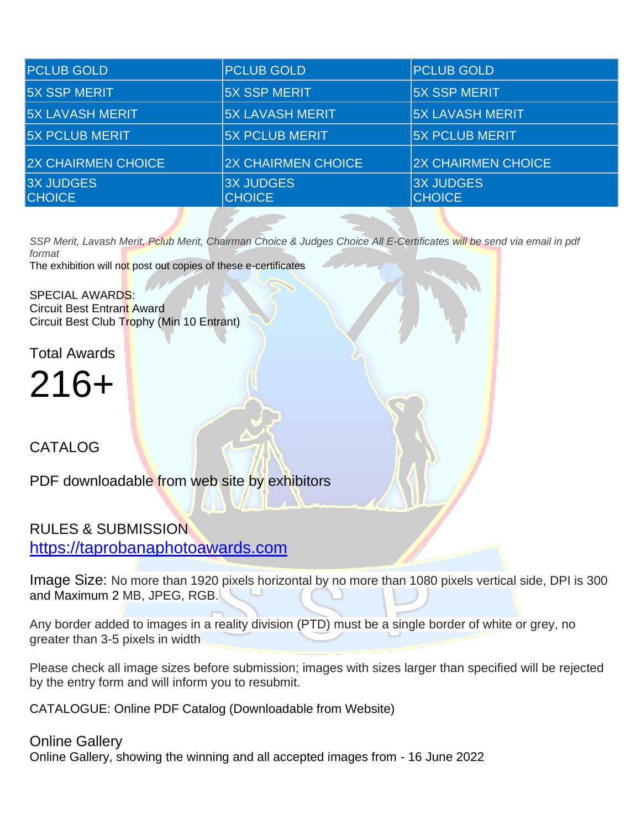| <b>PCLUB GOLD</b>                 | <b>PCLUB GOLD</b>                 | <b>PCLUB GOLD</b>                 |
|-----------------------------------|-----------------------------------|-----------------------------------|
| <b>5X SSP MERIT</b>               | <b>5X SSP MERIT</b>               | <b>5X SSP MERIT</b>               |
| <b>5X LAVASH MERIT</b>            | <b>5X LAVASH MERIT</b>            | <b>5X LAVASH MERIT</b>            |
| <b>5X PCLUB MERIT</b>             | <b>5X PCLUB MERIT</b>             | <b>5X PCLUB MERIT</b>             |
| <b>2X CHAIRMEN CHOICE</b>         | <b>2X CHAIRMEN CHOICE</b>         | <b>2X CHAIRMEN CHOICE</b>         |
| <b>3X JUDGES</b><br><b>CHOICE</b> | <b>3X JUDGES</b><br><b>CHOICE</b> | <b>3X JUDGES</b><br><b>CHOICE</b> |

*SSP Merit, Lavash Merit, Pclub Merit, Chairman Choice & Judges Choice All E-Certificates will be send via email in pdf format*

The exhibition will not post out copies of these e-certificates

SPECIAL AWARDS: Circuit Best Entrant Award Circuit Best Club Trophy (Min 10 Entrant)

Total Awards

216+

CATALOG

PDF downloadable from web site by exhibitors

# RULES & SUBMISSION [https://taprobanaphotoawards.com](https://taprobanaphotoawards.com/)

Image Size: No more than 1920 pixels horizontal by no more than 1080 pixels vertical side, DPI is 300 and Maximum 2 MB, JPEG, RGB.

Any border added to images in a reality division (PTD) must be a single border of white or grey, no greater than 3-5 pixels in width

Please check all image sizes before submission; images with sizes larger than specified will be rejected by the entry form and will inform you to resubmit.

CATALOGUE: Online PDF Catalog (Downloadable from Website)

### Online Gallery

Online Gallery, showing the winning and all accepted images from - 16 June 2022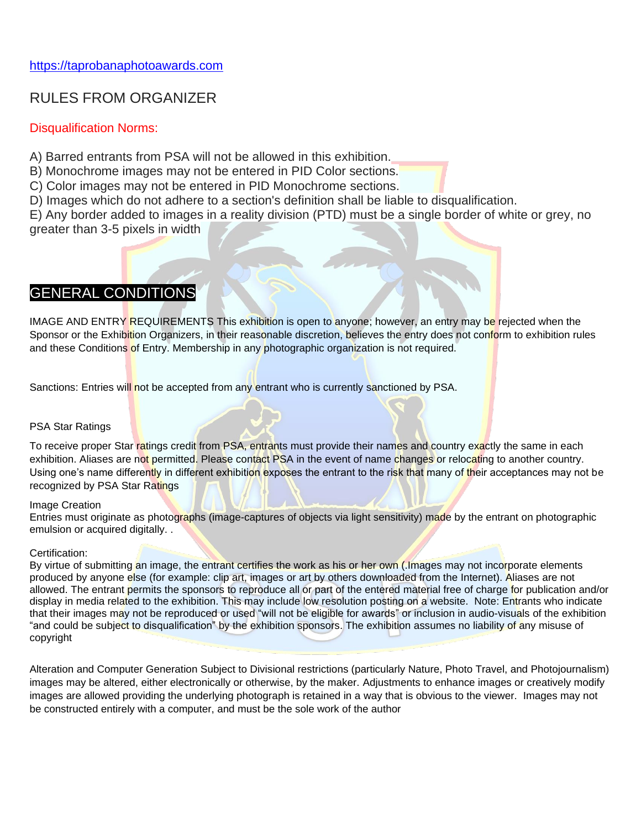### RULES FROM ORGANIZER

### Disqualification Norms:

A) Barred entrants from PSA will not be allowed in this exhibition.

B) Monochrome images may not be entered in PID Color sections.

C) Color images may not be entered in PID Monochrome sections.

D) Images which do not adhere to a section's definition shall be liable to disqualification.

E) Any border added to images in a reality division (PTD) must be a single border of white or grey, no greater than 3-5 pixels in width

### GENERAL CONDITIONS

IMAGE AND ENTRY REQUIREMENTS This exhibition is open to anyone; however, an entry may be rejected when the Sponsor or the Exhibition Organizers, in their reasonable discretion, believes the entry does not conform to exhibition rules and these Conditions of Entry. Membership in any photographic organization is not required.

Sanctions: Entries will not be accepted from any entrant who is currently sanctioned by PSA.

#### PSA Star Ratings

To receive proper Star ratings credit from PSA, entrants must provide their names and country exactly the same in each exhibition. Aliases are not permitted. Please contact PSA in the event of name changes or relocating to another country. Using one's name differently in different exhibition exposes the entrant to the risk that many of their acceptances may not be recognized by PSA Star Ratings

#### Image Creation

Entries must originate as photographs (image-captures of objects via light sensitivity) made by the entrant on photographic emulsion or acquired digitally. .

#### Certification:

By virtue of submitting an image, the entrant certifies the work as his or her own (.Images may not incorporate elements produced by anyone else (for example: clip art, images or art by others downloaded from the Internet). Aliases are not allowed. The entrant permits the sponsors to reproduce all or part of the entered material free of charge for publication and/or display in media related to the exhibition. This may include low resolution posting on a website. Note: Entrants who indicate that their images may not be reproduced or used "will not be eligible for awards" or inclusion in audio-visuals of the exhibition "and could be subject to disqualification" by the exhibition sponsors. The exhibition assumes no liability of any misuse of copyright

Alteration and Computer Generation Subject to Divisional restrictions (particularly Nature, Photo Travel, and Photojournalism) images may be altered, either electronically or otherwise, by the maker. Adjustments to enhance images or creatively modify images are allowed providing the underlying photograph is retained in a way that is obvious to the viewer. Images may not be constructed entirely with a computer, and must be the sole work of the author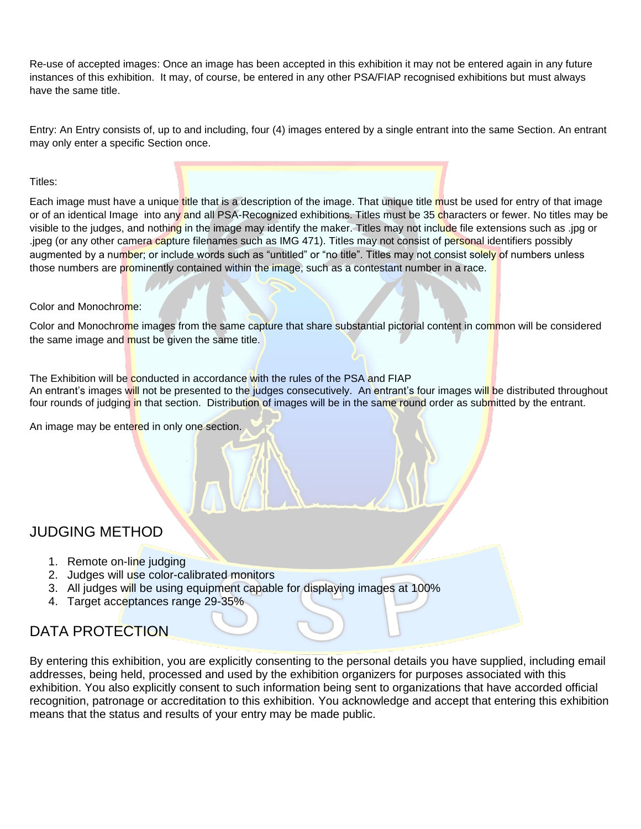Re-use of accepted images: Once an image has been accepted in this exhibition it may not be entered again in any future instances of this exhibition. It may, of course, be entered in any other PSA/FIAP recognised exhibitions but must always have the same title.

Entry: An Entry consists of, up to and including, four (4) images entered by a single entrant into the same Section. An entrant may only enter a specific Section once.

#### Titles:

Each image must have a unique title that is a description of the image. That unique title must be used for entry of that image or of an identical Image into any and all PSA-Recognized exhibitions. Titles must be 35 characters or fewer. No titles may be visible to the judges, and nothing in the image may identify the maker. Titles may not include file extensions such as .jpg or .jpeg (or any other camera capture filenames such as IMG 471). Titles may not consist of personal identifiers possibly augmented by a number; or include words such as "untitled" or "no title". Titles may not consist solely of numbers unless those numbers are prominently contained within the image, such as a contestant number in a race.

#### Color and Monochrome:

Color and Monochrome images from the same capture that share substantial pictorial content in common will be considered the same image and must be given the same title.

The Exhibition will be conducted in accordance with the rules of the PSA and FIAP

An entrant's images will not be presented to the judges consecutively. An entrant's four images will be distributed throughout four rounds of judging in that section. Distribution of images will be in the same round order as submitted by the entrant.

An image may be entered in only one section.

### JUDGING METHOD

- 1. Remote on-line judging
- 2. Judges will use color-calibrated monitors
- 3. All judges will be using equipment capable for displaying images at 100%
- 4. Target acceptances range 29-35%

# DATA PROTECTION

By entering this exhibition, you are explicitly consenting to the personal details you have supplied, including email addresses, being held, processed and used by the exhibition organizers for purposes associated with this exhibition. You also explicitly consent to such information being sent to organizations that have accorded official recognition, patronage or accreditation to this exhibition. You acknowledge and accept that entering this exhibition means that the status and results of your entry may be made public.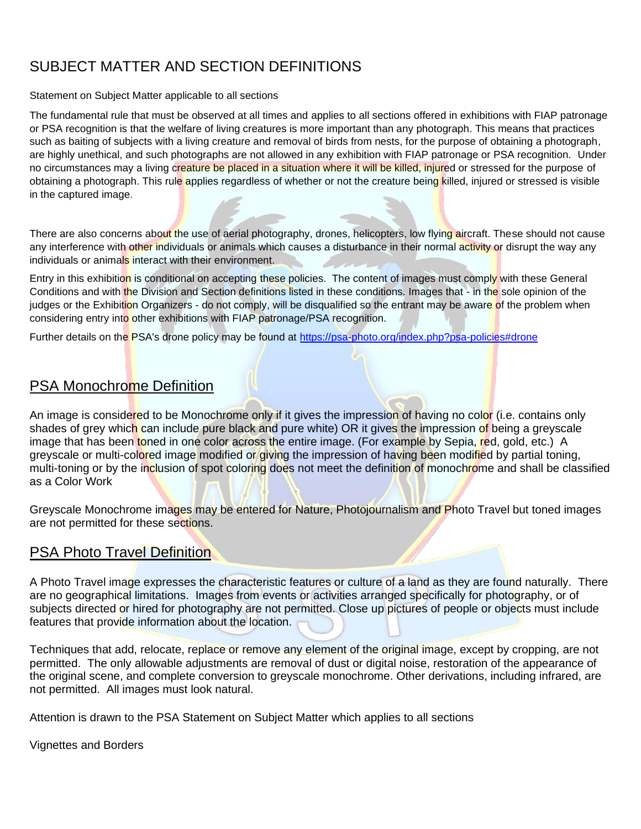# SUBJECT MATTER AND SECTION DEFINITIONS

#### Statement on Subject Matter applicable to all sections

The fundamental rule that must be observed at all times and applies to all sections offered in exhibitions with FIAP patronage or PSA recognition is that the welfare of living creatures is more important than any photograph. This means that practices such as baiting of subjects with a living creature and removal of birds from nests, for the purpose of obtaining a photograph, are highly unethical, and such photographs are not allowed in any exhibition with FIAP patronage or PSA recognition. Under no circumstances may a living creature be placed in a situation where it will be killed, injured or stressed for the purpose of obtaining a photograph. This rule applies regardless of whether or not the creature being killed, injured or stressed is visible in the captured image.

There are also concerns about the use of aerial photography, drones, helicopters, low flying aircraft. These should not cause any interference with other individuals or animals which causes a disturbance in their normal activity or disrupt the way any individuals or animals interact with their environment.

Entry in this exhibition is conditional on accepting these policies. The content of images must comply with these General Conditions and with the Division and Section definitions listed in these conditions. Images that - in the sole opinion of the judges or the Exhibition Organizers - do not comply, will be disqualified so the entrant may be aware of the problem when considering entry into other exhibitions with FIAP patronage/PSA recognition.

Further details on the PSA's drone policy may be found at [https://psa-photo.org/index.php?psa-policies#drone](https://psa-photo.org/index.php?psa-policies%23drone)

### PSA Monochrome Definition

An image is considered to be Monochrome only if it gives the impression of having no color (i.e. contains only shades of grey which can include pure black and pure white) OR it gives the impression of being a greyscale image that has been toned in one color across the entire image. (For example by Sepia, red, gold, etc.) A greyscale or multi-colored image modified or giving the impression of having been modified by partial toning, multi-toning or by the inclusion of spot coloring does not meet the definition of monochrome and shall be classified as a Color Work

Greyscale Monochrome images may be entered for Nature, Photojournalism and Photo Travel but toned images are not permitted for these sections.

### **PSA Photo Travel Definition**

A Photo Travel image expresses the characteristic features or culture of a land as they are found naturally. There are no geographical limitations. Images from events or activities arranged specifically for photography, or of subjects directed or hired for photography are not permitted. Close up pictures of people or objects must include features that provide information about the location.

Techniques that add, relocate, replace or remove any element of the original image, except by cropping, are not permitted. The only allowable adjustments are removal of dust or digital noise, restoration of the appearance of the original scene, and complete conversion to greyscale monochrome. Other derivations, including infrared, are not permitted. All images must look natural.

Attention is drawn to the PSA Statement on Subject Matter which applies to all sections

Vignettes and Borders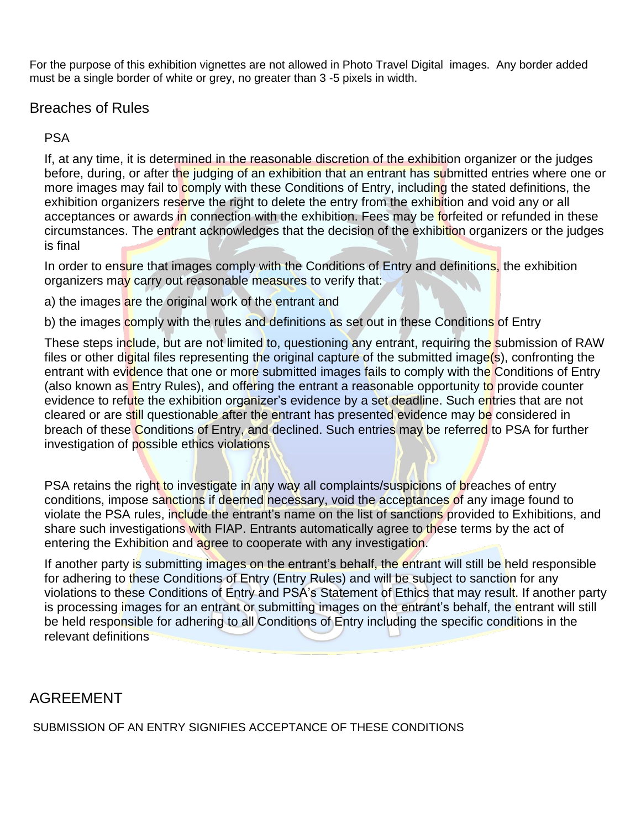For the purpose of this exhibition vignettes are not allowed in Photo Travel Digital images. Any border added must be a single border of white or grey, no greater than 3 -5 pixels in width.

### Breaches of Rules

PSA

If, at any time, it is determined in the reasonable discretion of the exhibition organizer or the judges before, during, or after the judging of an exhibition that an entrant has submitted entries where one or more images may fail to comply with these Conditions of Entry, including the stated definitions, the exhibition organizers reserve the right to delete the entry from the exhibition and void any or all acceptances or awards in connection with the exhibition. Fees may be forfeited or refunded in these circumstances. The entrant acknowledges that the decision of the exhibition organizers or the judges is final

In order to ensure that images comply with the Conditions of Entry and definitions, the exhibition organizers may carry out reasonable measures to verify that:

a) the images are the original work of the entrant and

b) the images comply with the rules and definitions as set out in these Conditions of Entry

These steps include, but are not limited to, questioning any entrant, requiring the submission of RAW files or other digital files representing the original capture of the submitted image(s), confronting the entrant with evidence that one or more submitted images fails to comply with the Conditions of Entry (also known as Entry Rules), and offering the entrant a reasonable opportunity to provide counter evidence to refute the exhibition organizer's evidence by a set deadline. Such entries that are not cleared or are still questionable after the entrant has presented evidence may be considered in breach of these Conditions of Entry, and declined. Such entries may be referred to PSA for further investigation of possible ethics violations

PSA retains the right to investigate in any way all complaints/suspicions of breaches of entry conditions, impose sanctions if deemed necessary, void the acceptances of any image found to violate the PSA rules, include the entrant's name on the list of sanctions provided to Exhibitions, and share such investigations with FIAP. Entrants automatically agree to these terms by the act of entering the Exhibition and agree to cooperate with any investigation.

If another party is submitting images on the entrant's behalf, the entrant will still be held responsible for adhering to these Conditions of Entry (Entry Rules) and will be subject to sanction for any violations to these Conditions of Entry and PSA's Statement of Ethics that may result. If another party is processing images for an entrant or submitting images on the entrant's behalf, the entrant will still be held responsible for adhering to all Conditions of Entry including the specific conditions in the relevant definitions

### AGREEMENT

SUBMISSION OF AN ENTRY SIGNIFIES ACCEPTANCE OF THESE CONDITIONS